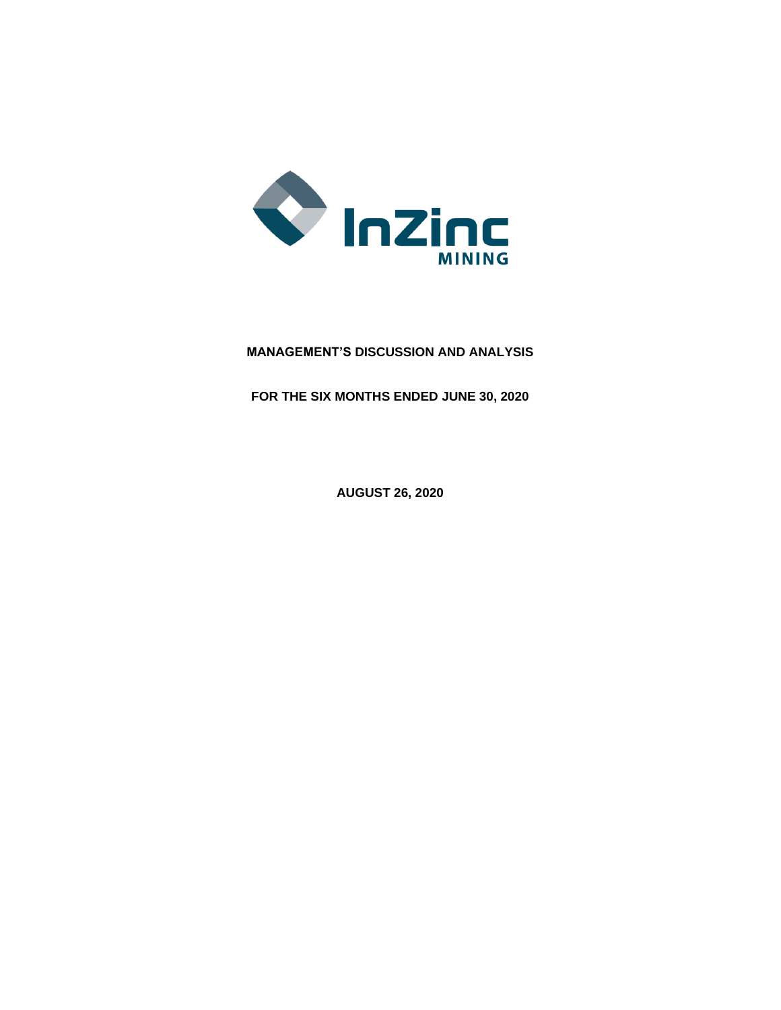

# **MANAGEMENT'S DISCUSSION AND ANALYSIS**

**FOR THE SIX MONTHS ENDED JUNE 30, 2020**

**AUGUST 26, 2020**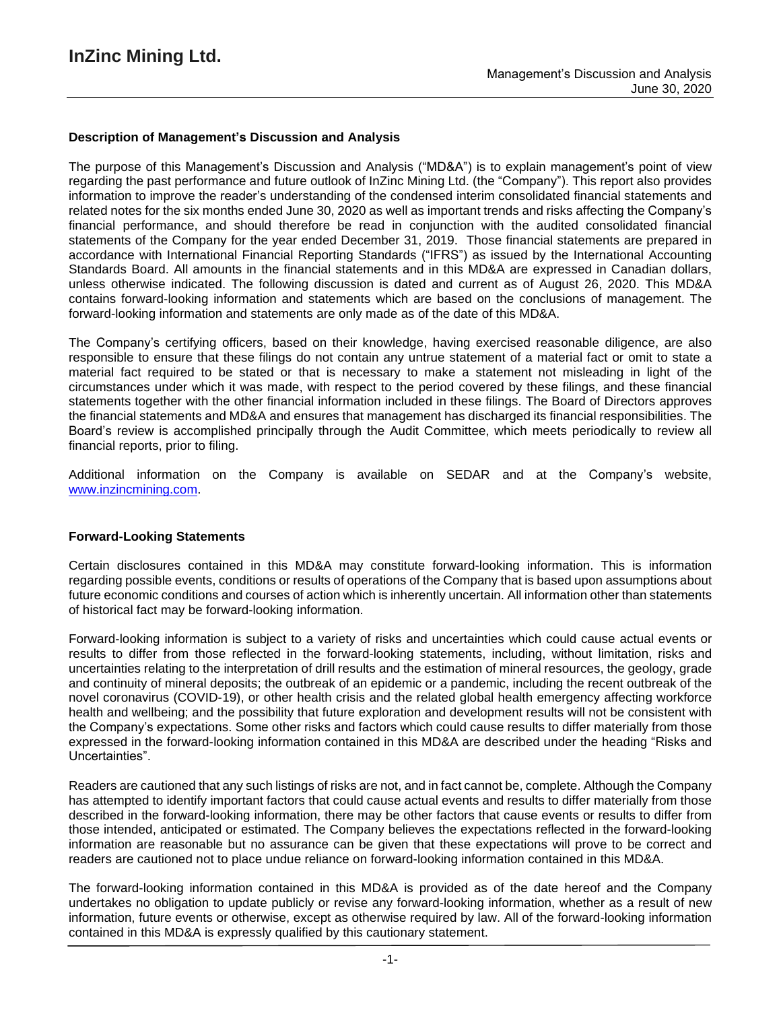### **Description of Management's Discussion and Analysis**

The purpose of this Management's Discussion and Analysis ("MD&A") is to explain management's point of view regarding the past performance and future outlook of InZinc Mining Ltd. (the "Company"). This report also provides information to improve the reader's understanding of the condensed interim consolidated financial statements and related notes for the six months ended June 30, 2020 as well as important trends and risks affecting the Company's financial performance, and should therefore be read in conjunction with the audited consolidated financial statements of the Company for the year ended December 31, 2019. Those financial statements are prepared in accordance with International Financial Reporting Standards ("IFRS") as issued by the International Accounting Standards Board. All amounts in the financial statements and in this MD&A are expressed in Canadian dollars, unless otherwise indicated. The following discussion is dated and current as of August 26, 2020. This MD&A contains forward-looking information and statements which are based on the conclusions of management. The forward-looking information and statements are only made as of the date of this MD&A.

The Company's certifying officers, based on their knowledge, having exercised reasonable diligence, are also responsible to ensure that these filings do not contain any untrue statement of a material fact or omit to state a material fact required to be stated or that is necessary to make a statement not misleading in light of the circumstances under which it was made, with respect to the period covered by these filings, and these financial statements together with the other financial information included in these filings. The Board of Directors approves the financial statements and MD&A and ensures that management has discharged its financial responsibilities. The Board's review is accomplished principally through the Audit Committee, which meets periodically to review all financial reports, prior to filing.

Additional information on the Company is available on SEDAR and at the Company's website, www.inzincmining.com.

### **Forward-Looking Statements**

Certain disclosures contained in this MD&A may constitute forward-looking information. This is information regarding possible events, conditions or results of operations of the Company that is based upon assumptions about future economic conditions and courses of action which is inherently uncertain. All information other than statements of historical fact may be forward-looking information.

Forward-looking information is subject to a variety of risks and uncertainties which could cause actual events or results to differ from those reflected in the forward-looking statements, including, without limitation, risks and uncertainties relating to the interpretation of drill results and the estimation of mineral resources, the geology, grade and continuity of mineral deposits; the outbreak of an epidemic or a pandemic, including the recent outbreak of the novel coronavirus (COVID-19), or other health crisis and the related global health emergency affecting workforce health and wellbeing; and the possibility that future exploration and development results will not be consistent with the Company's expectations. Some other risks and factors which could cause results to differ materially from those expressed in the forward-looking information contained in this MD&A are described under the heading "Risks and Uncertainties".

Readers are cautioned that any such listings of risks are not, and in fact cannot be, complete. Although the Company has attempted to identify important factors that could cause actual events and results to differ materially from those described in the forward-looking information, there may be other factors that cause events or results to differ from those intended, anticipated or estimated. The Company believes the expectations reflected in the forward-looking information are reasonable but no assurance can be given that these expectations will prove to be correct and readers are cautioned not to place undue reliance on forward-looking information contained in this MD&A.

The forward-looking information contained in this MD&A is provided as of the date hereof and the Company undertakes no obligation to update publicly or revise any forward-looking information, whether as a result of new information, future events or otherwise, except as otherwise required by law. All of the forward-looking information contained in this MD&A is expressly qualified by this cautionary statement.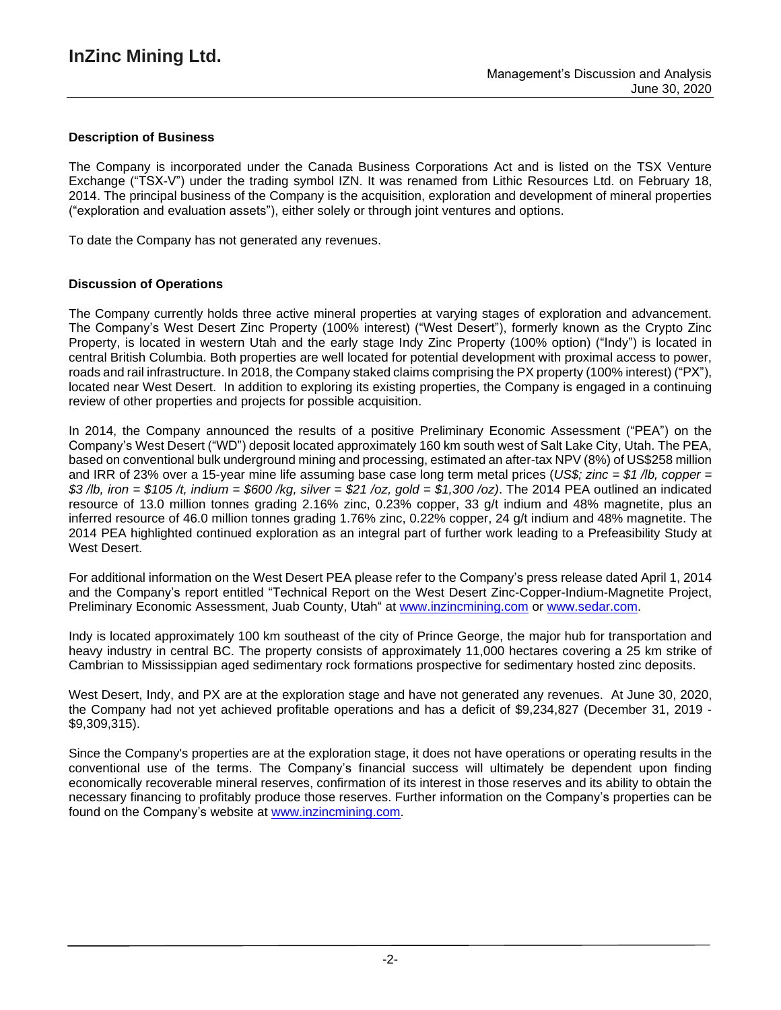## **Description of Business**

The Company is incorporated under the Canada Business Corporations Act and is listed on the TSX Venture Exchange ("TSX-V") under the trading symbol IZN. It was renamed from Lithic Resources Ltd. on February 18, 2014. The principal business of the Company is the acquisition, exploration and development of mineral properties ("exploration and evaluation assets"), either solely or through joint ventures and options.

To date the Company has not generated any revenues.

### **Discussion of Operations**

The Company currently holds three active mineral properties at varying stages of exploration and advancement. The Company's West Desert Zinc Property (100% interest) ("West Desert"), formerly known as the Crypto Zinc Property, is located in western Utah and the early stage Indy Zinc Property (100% option) ("Indy") is located in central British Columbia. Both properties are well located for potential development with proximal access to power, roads and rail infrastructure. In 2018, the Company staked claims comprising the PX property (100% interest) ("PX"), located near West Desert. In addition to exploring its existing properties, the Company is engaged in a continuing review of other properties and projects for possible acquisition.

In 2014, the Company announced the results of a positive Preliminary Economic Assessment ("PEA") on the Company's West Desert ("WD") deposit located approximately 160 km south west of Salt Lake City, Utah. The PEA, based on conventional bulk underground mining and processing, estimated an after-tax NPV (8%) of US\$258 million and IRR of 23% over a 15-year mine life assuming base case long term metal prices (*US\$; zinc = \$1 /lb, copper =* \$3/lb, iron = \$105/t, indium = \$600/kg, silver = \$21/oz, gold = \$1,300/oz). The 2014 PEA outlined an indicated resource of 13.0 million tonnes grading 2.16% zinc, 0.23% copper, 33 g/t indium and 48% magnetite, plus an inferred resource of 46.0 million tonnes grading 1.76% zinc, 0.22% copper, 24 g/t indium and 48% magnetite. The 2014 PEA highlighted continued exploration as an integral part of further work leading to a Prefeasibility Study at West Desert.

For additional information on the West Desert PEA please refer to the Company's press release dated April 1, 2014 and the Company's report entitled "Technical Report on the West Desert Zinc-Copper-Indium-Magnetite Project, Preliminary Economic Assessment, Juab County, Utah" at [www.inzincmining.com](http://www.inzincmining.com/) or [www.sedar.com.](http://www.sedar.com/)

Indy is located approximately 100 km southeast of the city of Prince George, the major hub for transportation and heavy industry in central BC. The property consists of approximately 11,000 hectares covering a 25 km strike of Cambrian to Mississippian aged sedimentary rock formations prospective for sedimentary hosted zinc deposits.

West Desert, Indy, and PX are at the exploration stage and have not generated any revenues. At June 30, 2020, the Company had not yet achieved profitable operations and has a deficit of \$9,234,827 (December 31, 2019 - \$9,309,315).

Since the Company's properties are at the exploration stage, it does not have operations or operating results in the conventional use of the terms. The Company's financial success will ultimately be dependent upon finding economically recoverable mineral reserves, confirmation of its interest in those reserves and its ability to obtain the necessary financing to profitably produce those reserves. Further information on the Company's properties can be found on the Company's website at www.inzincmining.com.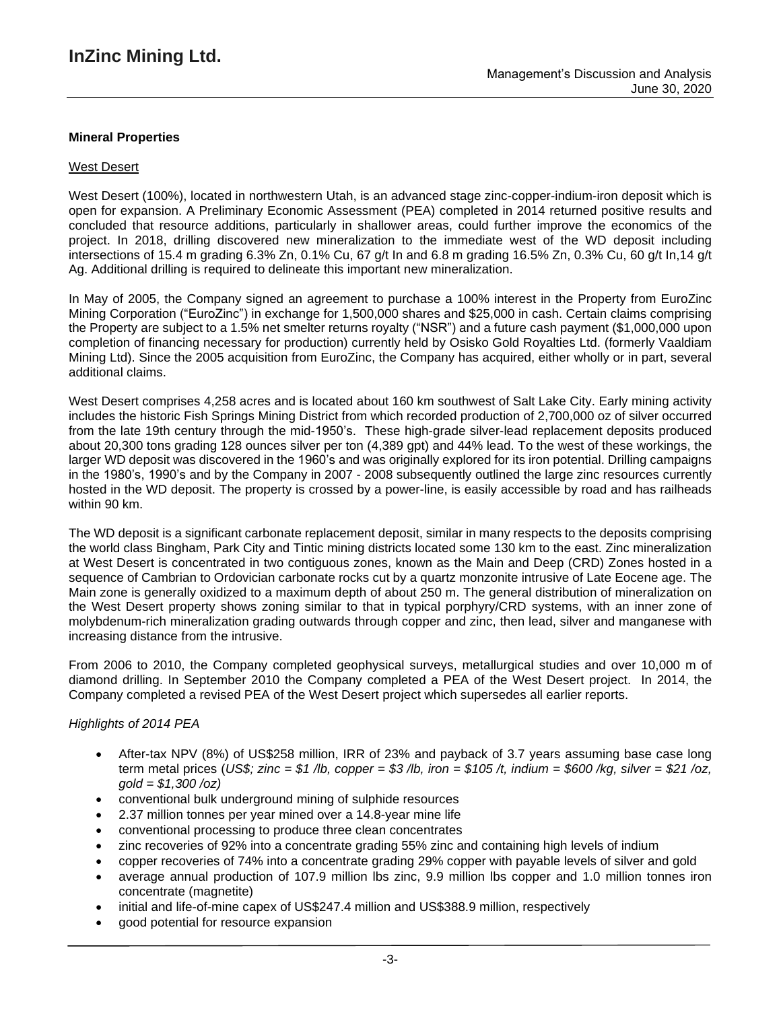## **Mineral Properties**

### West Desert

West Desert (100%), located in northwestern Utah, is an advanced stage zinc-copper-indium-iron deposit which is open for expansion. A Preliminary Economic Assessment (PEA) completed in 2014 returned positive results and concluded that resource additions, particularly in shallower areas, could further improve the economics of the project. In 2018, drilling discovered new mineralization to the immediate west of the WD deposit including intersections of 15.4 m grading 6.3% Zn, 0.1% Cu, 67 g/t In and 6.8 m grading 16.5% Zn, 0.3% Cu, 60 g/t In,14 g/t Ag. Additional drilling is required to delineate this important new mineralization.

In May of 2005, the Company signed an agreement to purchase a 100% interest in the Property from EuroZinc Mining Corporation ("EuroZinc") in exchange for 1,500,000 shares and \$25,000 in cash. Certain claims comprising the Property are subject to a 1.5% net smelter returns royalty ("NSR") and a future cash payment (\$1,000,000 upon completion of financing necessary for production) currently held by Osisko Gold Royalties Ltd. (formerly Vaaldiam Mining Ltd). Since the 2005 acquisition from EuroZinc, the Company has acquired, either wholly or in part, several additional claims.

West Desert comprises 4,258 acres and is located about 160 km southwest of Salt Lake City. Early mining activity includes the historic Fish Springs Mining District from which recorded production of 2,700,000 oz of silver occurred from the late 19th century through the mid-1950's. These high-grade silver-lead replacement deposits produced about 20,300 tons grading 128 ounces silver per ton (4,389 gpt) and 44% lead. To the west of these workings, the larger WD deposit was discovered in the 1960's and was originally explored for its iron potential. Drilling campaigns in the 1980's, 1990's and by the Company in 2007 - 2008 subsequently outlined the large zinc resources currently hosted in the WD deposit. The property is crossed by a power-line, is easily accessible by road and has railheads within 90 km.

The WD deposit is a significant carbonate replacement deposit, similar in many respects to the deposits comprising the world class Bingham, Park City and Tintic mining districts located some 130 km to the east. Zinc mineralization at West Desert is concentrated in two contiguous zones, known as the Main and Deep (CRD) Zones hosted in a sequence of Cambrian to Ordovician carbonate rocks cut by a quartz monzonite intrusive of Late Eocene age. The Main zone is generally oxidized to a maximum depth of about 250 m. The general distribution of mineralization on the West Desert property shows zoning similar to that in typical porphyry/CRD systems, with an inner zone of molybdenum-rich mineralization grading outwards through copper and zinc, then lead, silver and manganese with increasing distance from the intrusive.

From 2006 to 2010, the Company completed geophysical surveys, metallurgical studies and over 10,000 m of diamond drilling. In September 2010 the Company completed a PEA of the West Desert project. In 2014, the Company completed a revised PEA of the West Desert project which supersedes all earlier reports.

### *Highlights of 2014 PEA*

- After-tax NPV (8%) of US\$258 million, IRR of 23% and payback of 3.7 years assuming base case long term metal prices (US\$; zinc = \$1 /b, copper = \$3 /b, iron = \$105 /t, indium = \$600 /kg, silver = \$21 /oz, *gold = \$1,300 /oz)*
- conventional bulk underground mining of sulphide resources
- 2.37 million tonnes per year mined over a 14.8-year mine life
- conventional processing to produce three clean concentrates
- zinc recoveries of 92% into a concentrate grading 55% zinc and containing high levels of indium
- copper recoveries of 74% into a concentrate grading 29% copper with payable levels of silver and gold
- average annual production of 107.9 million lbs zinc, 9.9 million lbs copper and 1.0 million tonnes iron concentrate (magnetite)
- initial and life-of-mine capex of US\$247.4 million and US\$388.9 million, respectively
- good potential for resource expansion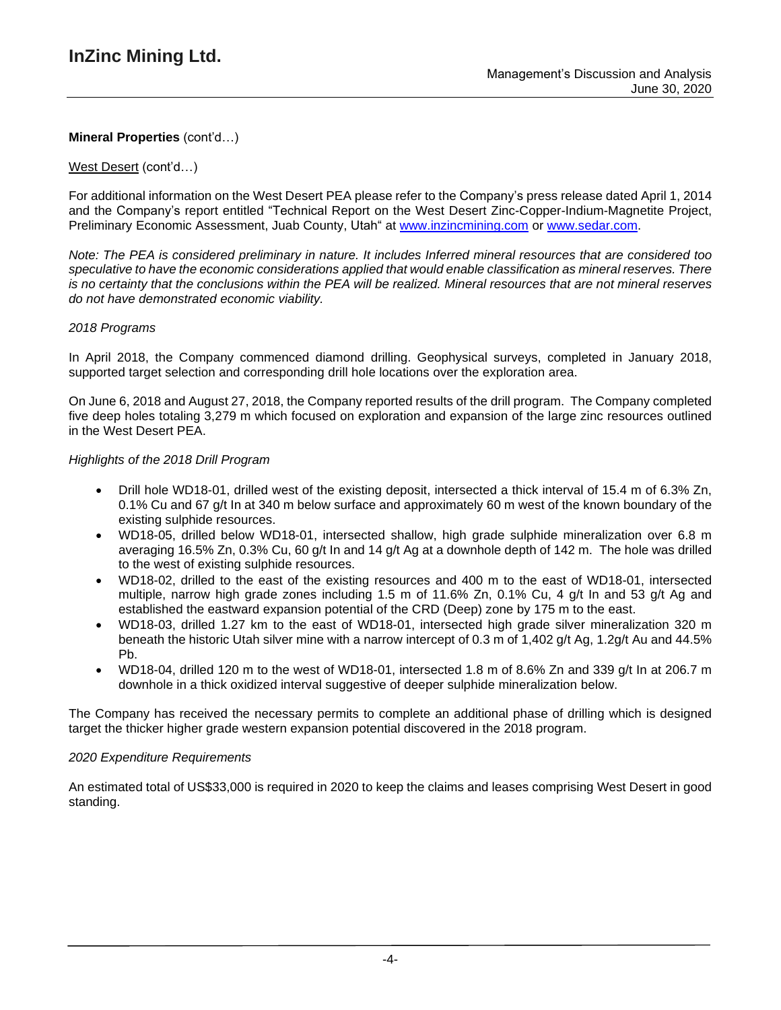### West Desert (cont'd…)

For additional information on the West Desert PEA please refer to the Company's press release dated April 1, 2014 and the Company's report entitled "Technical Report on the West Desert Zinc-Copper-Indium-Magnetite Project, Preliminary Economic Assessment, Juab County, Utah" at [www.inzincmining.com](http://www.inzincmining.com/) or [www.sedar.com.](http://www.sedar.com/)

Note: The PEA is considered preliminary in nature. It includes Inferred mineral resources that are considered too *speculative to have the economic considerations applied that would enable classification as mineral reserves. There* is no certainty that the conclusions within the PEA will be realized. Mineral resources that are not mineral reserves *do not have demonstrated economic viability.*

### *2018 Programs*

In April 2018, the Company commenced diamond drilling. Geophysical surveys, completed in January 2018, supported target selection and corresponding drill hole locations over the exploration area.

On June 6, 2018 and August 27, 2018, the Company reported results of the drill program. The Company completed five deep holes totaling 3,279 m which focused on exploration and expansion of the large zinc resources outlined in the West Desert PEA.

### *Highlights of the 2018 Drill Program*

- Drill hole WD18-01, drilled west of the existing deposit, intersected a thick interval of 15.4 m of 6.3% Zn, 0.1% Cu and 67 g/t In at 340 m below surface and approximately 60 m west of the known boundary of the existing sulphide resources.
- WD18-05, drilled below WD18-01, intersected shallow, high grade sulphide mineralization over 6.8 m averaging 16.5% Zn, 0.3% Cu, 60 g/t In and 14 g/t Ag at a downhole depth of 142 m. The hole was drilled to the west of existing sulphide resources.
- WD18-02, drilled to the east of the existing resources and 400 m to the east of WD18-01, intersected multiple, narrow high grade zones including 1.5 m of 11.6% Zn, 0.1% Cu, 4 g/t In and 53 g/t Ag and established the eastward expansion potential of the CRD (Deep) zone by 175 m to the east.
- WD18-03, drilled 1.27 km to the east of WD18-01, intersected high grade silver mineralization 320 m beneath the historic Utah silver mine with a narrow intercept of 0.3 m of 1,402 g/t Ag, 1.2g/t Au and 44.5% Pb.
- WD18-04, drilled 120 m to the west of WD18-01, intersected 1.8 m of 8.6% Zn and 339  $\alpha/t$  In at 206.7 m downhole in a thick oxidized interval suggestive of deeper sulphide mineralization below.

The Company has received the necessary permits to complete an additional phase of drilling which is designed target the thicker higher grade western expansion potential discovered in the 2018 program.

### *2020 Expenditure Requirements*

An estimated total of US\$33,000 is required in 2020 to keep the claims and leases comprising West Desert in good standing.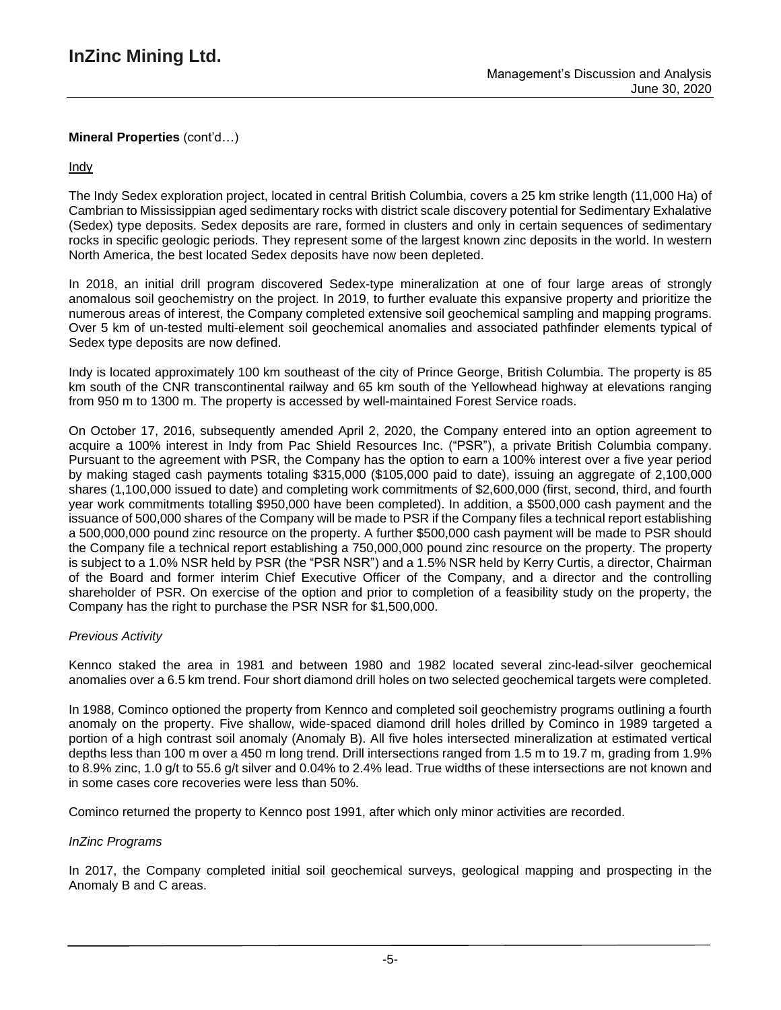## Indy

The Indy Sedex exploration project, located in central British Columbia, covers a 25 km strike length (11,000 Ha) of Cambrian to Mississippian aged sedimentary rocks with district scale discovery potential for Sedimentary Exhalative (Sedex) type deposits. Sedex deposits are rare, formed in clusters and only in certain sequences of sedimentary rocks in specific geologic periods. They represent some of the largest known zinc deposits in the world. In western North America, the best located Sedex deposits have now been depleted.

In 2018, an initial drill program discovered Sedex-type mineralization at one of four large areas of strongly anomalous soil geochemistry on the project. In 2019, to further evaluate this expansive property and prioritize the numerous areas of interest, the Company completed extensive soil geochemical sampling and mapping programs. Over 5 km of un-tested multi-element soil geochemical anomalies and associated pathfinder elements typical of Sedex type deposits are now defined.

Indy is located approximately 100 km southeast of the city of Prince George, British Columbia. The property is 85 km south of the CNR transcontinental railway and 65 km south of the Yellowhead highway at elevations ranging from 950 m to 1300 m. The property is accessed by well-maintained Forest Service roads.

On October 17, 2016, subsequently amended April 2, 2020, the Company entered into an option agreement to acquire a 100% interest in Indy from Pac Shield Resources Inc. ("PSR"), a private British Columbia company. Pursuant to the agreement with PSR, the Company has the option to earn a 100% interest over a five year period by making staged cash payments totaling \$315,000 (\$105,000 paid to date), issuing an aggregate of 2,100,000 shares (1,100,000 issued to date) and completing work commitments of \$2,600,000 (first, second, third, and fourth year work commitments totalling \$950,000 have been completed). In addition, a \$500,000 cash payment and the issuance of 500,000 shares of the Company will be made to PSR if the Company files a technical report establishing a 500,000,000 pound zinc resource on the property. A further \$500,000 cash payment will be made to PSR should the Company file a technical report establishing a 750,000,000 pound zinc resource on the property. The property is subject to a 1.0% NSR held by PSR (the "PSR NSR") and a 1.5% NSR held by Kerry Curtis, a director, Chairman of the Board and former interim Chief Executive Officer of the Company, and a director and the controlling shareholder of PSR. On exercise of the option and prior to completion of a feasibility study on the property, the Company has the right to purchase the PSR NSR for \$1,500,000.

## *Previous Activity*

Kennco staked the area in 1981 and between 1980 and 1982 located several zinc-lead-silver geochemical anomalies over a 6.5 km trend. Four short diamond drill holes on two selected geochemical targets were completed.

In 1988, Cominco optioned the property from Kennco and completed soil geochemistry programs outlining a fourth anomaly on the property. Five shallow, wide-spaced diamond drill holes drilled by Cominco in 1989 targeted a portion of a high contrast soil anomaly (Anomaly B). All five holes intersected mineralization at estimated vertical depths less than 100 m over a 450 m long trend. Drill intersections ranged from 1.5 m to 19.7 m, grading from 1.9% to 8.9% zinc, 1.0 g/t to 55.6 g/t silver and 0.04% to 2.4% lead. True widths of these intersections are not known and in some cases core recoveries were less than 50%.

Cominco returned the property to Kennco post 1991, after which only minor activities are recorded.

## *InZinc Programs*

In 2017, the Company completed initial soil geochemical surveys, geological mapping and prospecting in the Anomaly B and C areas.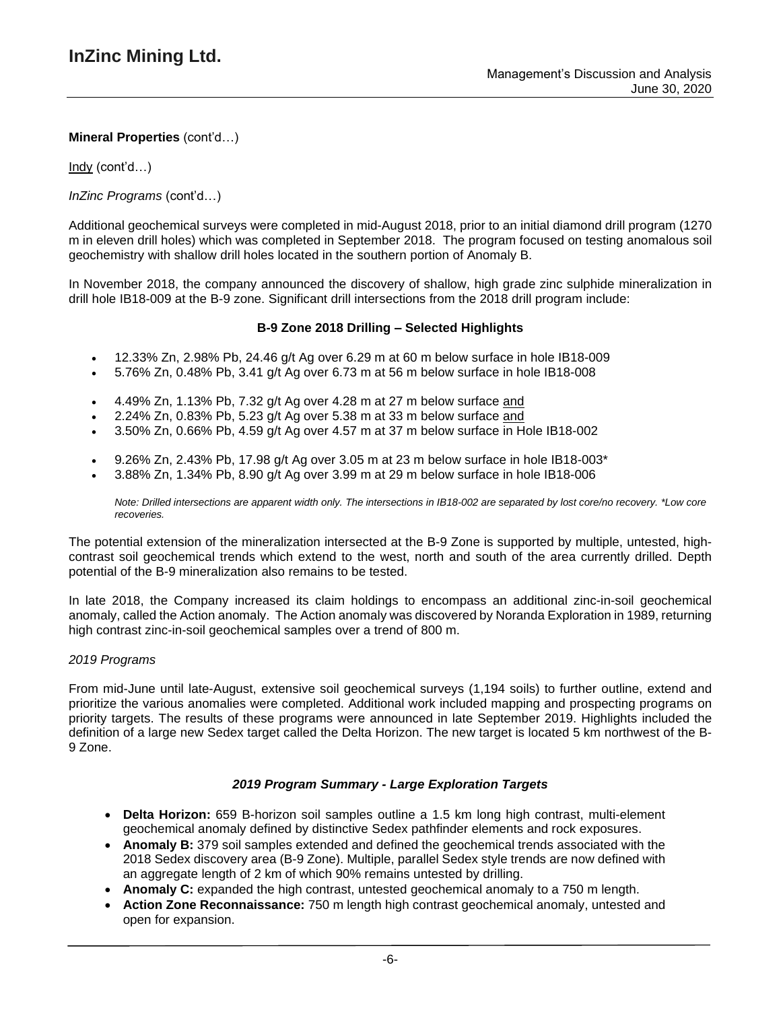Indy (cont'd…)

*InZinc Programs* (cont'd…)

Additional geochemical surveys were completed in mid-August 2018, prior to an initial diamond drill program (1270 m in eleven drill holes) which was completed in September 2018. The program focused on testing anomalous soil geochemistry with shallow drill holes located in the southern portion of Anomaly B.

In November 2018, the company announced the discovery of shallow, high grade zinc sulphide mineralization in drill hole IB18-009 at the B-9 zone. Significant drill intersections from the 2018 drill program include:

### **B-9 Zone 2018 Drilling – Selected Highlights**

- $\bullet$  12.33% Zn, 2.98% Pb, 24.46 g/t Ag over 6.29 m at 60 m below surface in hole IB18-009
- 5.76% Zn, 0.48% Pb, 3.41 g/t Ag over 6.73 m at 56 m below surface in hole IB18-008
- 4.49% Zn, 1.13% Pb, 7.32 g/t Ag over 4.28 m at 27 m below surface and
- 2.24% Zn, 0.83% Pb, 5.23 g/t Ag over 5.38 m at 33 m below surface and
- 3.50% Zn, 0.66% Pb, 4.59 g/t Ag over 4.57 m at 37 m below surface in Hole IB18-002
- 9.26% Zn, 2.43% Pb, 17.98 g/t Ag over 3.05 m at 23 m below surface in hole IB18-003\*
- 3.88% Zn, 1.34% Pb, 8.90 g/t Ag over 3.99 m at 29 m below surface in hole IB18-006

Note: Drilled intersections are apparent width only. The intersections in IB18-002 are separated by lost core/no recovery. \*Low core *recoveries.*

The potential extension of the mineralization intersected at the B-9 Zone is supported by multiple, untested, highcontrast soil geochemical trends which extend to the west, north and south of the area currently drilled. Depth potential of the B-9 mineralization also remains to be tested.

In late 2018, the Company increased its claim holdings to encompass an additional zinc-in-soil geochemical anomaly, called the Action anomaly. The Action anomaly was discovered by Noranda Exploration in 1989, returning high contrast zinc-in-soil geochemical samples over a trend of 800 m.

### *2019 Programs*

From mid-June until late-August, extensive soil geochemical surveys (1,194 soils) to further outline, extend and prioritize the various anomalies were completed. Additional work included mapping and prospecting programs on priority targets. The results of these programs were announced in late September 2019. Highlights included the definition of a large new Sedex target called the Delta Horizon. The new target is located 5 km northwest of the B-9 Zone.

### *2019 Program Summary - Large Exploration Targets*

- **Delta Horizon:** 659 B-horizon soil samples outline a 1.5 km long high contrast, multi-element geochemical anomaly defined by distinctive Sedex pathfinder elements and rock exposures.
- **Anomaly B:** 379 soil samples extended and defined the geochemical trends associated with the 2018 Sedex discovery area (B-9 Zone). Multiple, parallel Sedex style trends are now defined with an aggregate length of 2 km of which 90% remains untested by drilling.
- **Anomaly C:** expanded the high contrast, untested geochemical anomaly to a 750 m length.
- **Action Zone Reconnaissance:** 750 m length high contrast geochemical anomaly, untested and open for expansion.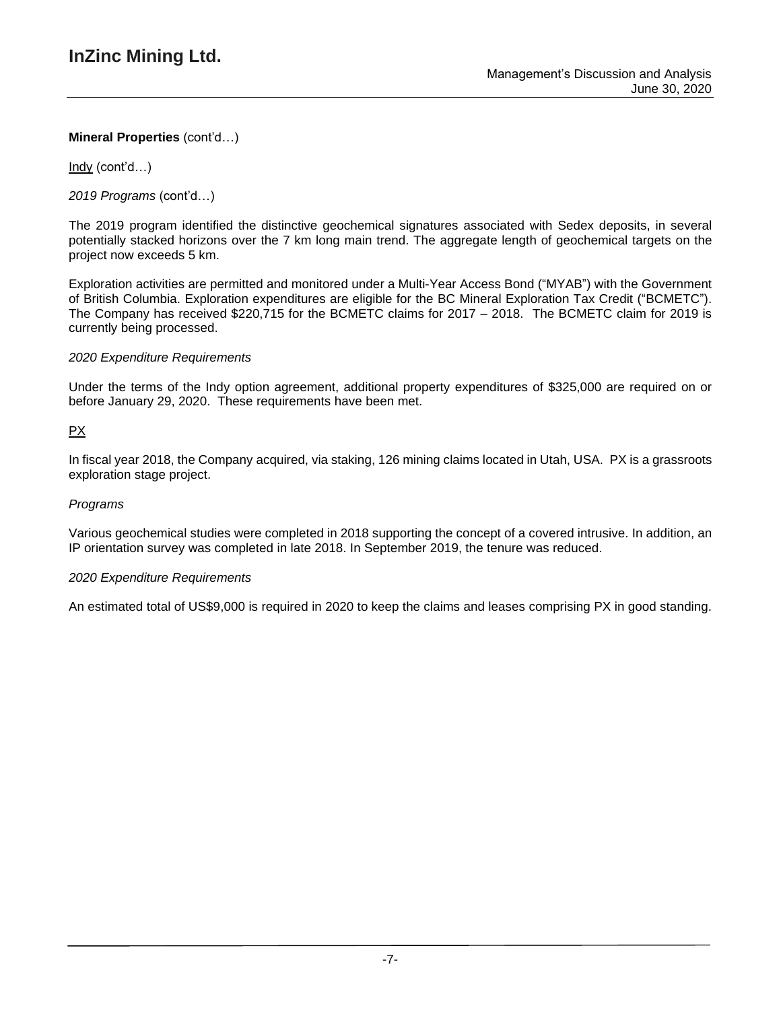Indy (cont'd…)

*2019 Programs* (cont'd…)

The 2019 program identified the distinctive geochemical signatures associated with Sedex deposits, in several potentially stacked horizons over the 7 km long main trend. The aggregate length of geochemical targets on the project now exceeds 5 km.

Exploration activities are permitted and monitored under a Multi-Year Access Bond ("MYAB") with the Government of British Columbia. Exploration expenditures are eligible for the BC Mineral Exploration Tax Credit ("BCMETC"). The Company has received \$220,715 for the BCMETC claims for 2017 – 2018. The BCMETC claim for 2019 is currently being processed.

## *2020 Expenditure Requirements*

Under the terms of the Indy option agreement, additional property expenditures of \$325,000 are required on or before January 29, 2020. These requirements have been met.

# PX

In fiscal year 2018, the Company acquired, via staking, 126 mining claims located in Utah, USA. PX is a grassroots exploration stage project.

## *Programs*

Various geochemical studies were completed in 2018 supporting the concept of a covered intrusive. In addition, an IP orientation survey was completed in late 2018. In September 2019, the tenure was reduced.

## *2020 Expenditure Requirements*

An estimated total of US\$9,000 is required in 2020 to keep the claims and leases comprising PX in good standing.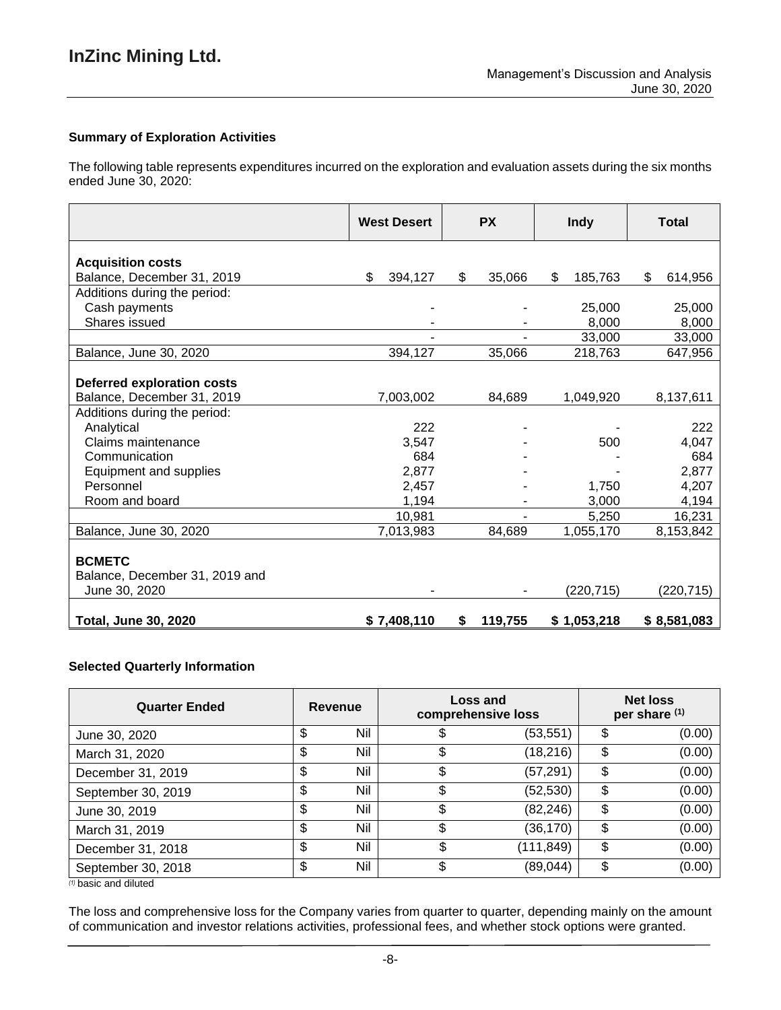## **Summary of Exploration Activities**

The following table represents expenditures incurred on the exploration and evaluation assets during the six months ended June 30, 2020:

|                                                                  | <b>West Desert</b> | <b>PX</b>     | <b>Indy</b>   | <b>Total</b>  |
|------------------------------------------------------------------|--------------------|---------------|---------------|---------------|
| <b>Acquisition costs</b>                                         |                    |               |               |               |
| Balance, December 31, 2019                                       | \$<br>394,127      | 35,066<br>\$  | \$<br>185,763 | \$<br>614,956 |
| Additions during the period:                                     |                    |               |               |               |
| Cash payments                                                    |                    |               | 25,000        | 25,000        |
| Shares issued                                                    |                    |               | 8,000         | 8,000         |
|                                                                  |                    |               | 33,000        | 33,000        |
| Balance, June 30, 2020                                           | 394,127            | 35,066        | 218,763       | 647,956       |
|                                                                  |                    |               |               |               |
| <b>Deferred exploration costs</b>                                |                    |               |               |               |
| Balance, December 31, 2019                                       | 7,003,002          | 84,689        | 1,049,920     | 8,137,611     |
| Additions during the period:                                     |                    |               |               |               |
| Analytical                                                       | 222                |               |               | 222           |
| Claims maintenance                                               | 3,547              |               | 500           | 4,047         |
| Communication                                                    | 684                |               |               | 684           |
| Equipment and supplies                                           | 2,877              |               |               | 2,877         |
| Personnel                                                        | 2,457              |               | 1,750         | 4,207         |
| Room and board                                                   | 1,194              |               | 3,000         | 4,194         |
|                                                                  | 10,981             |               | 5,250         | 16,231        |
| Balance, June 30, 2020                                           | 7,013,983          | 84,689        | 1,055,170     | 8,153,842     |
| <b>BCMETC</b><br>Balance, December 31, 2019 and<br>June 30, 2020 |                    |               | (220, 715)    | (220, 715)    |
| <b>Total, June 30, 2020</b>                                      | \$7,408,110        | 119,755<br>\$ | \$1,053,218   | \$8,581,083   |

### **Selected Quarterly Information**

| <b>Quarter Ended</b> | Revenue   | <b>Loss and</b><br>comprehensive loss |           | <b>Net loss</b><br>per share (1) |        |
|----------------------|-----------|---------------------------------------|-----------|----------------------------------|--------|
| June 30, 2020        | \$<br>Nil |                                       | (53, 551) | S                                | (0.00) |
| March 31, 2020       | \$<br>Nil |                                       | (18, 216) | \$                               | (0.00) |
| December 31, 2019    | \$<br>Nil |                                       | (57, 291) | \$                               | (0.00) |
| September 30, 2019   | \$<br>Nil | \$                                    | (52, 530) | \$                               | (0.00) |
| June 30, 2019        | \$<br>Nil |                                       | (82, 246) | \$                               | (0.00) |
| March 31, 2019       | \$<br>Nil |                                       | (36, 170) | \$                               | (0.00) |
| December 31, 2018    | \$<br>Nil | \$                                    | (111,849) | \$                               | (0.00) |
| September 30, 2018   | \$<br>Nil | \$                                    | (89, 044) | \$                               | (0.00) |

*(1)* basic and diluted

The loss and comprehensive loss for the Company varies from quarter to quarter, depending mainly on the amount of communication and investor relations activities, professional fees, and whether stock options were granted.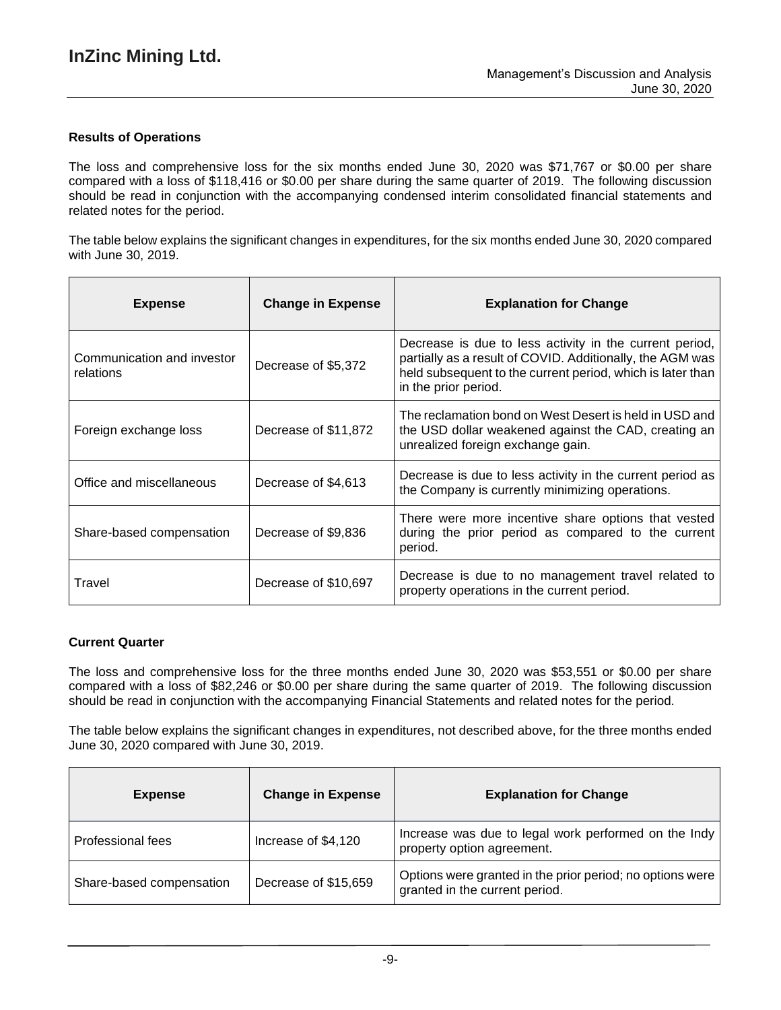## **Results of Operations**

The loss and comprehensive loss for the six months ended June 30, 2020 was \$71,767 or \$0.00 per share compared with a loss of \$118,416 or \$0.00 per share during the same quarter of 2019. The following discussion should be read in conjunction with the accompanying condensed interim consolidated financial statements and related notes for the period.

The table below explains the significant changes in expenditures, for the six months ended June 30, 2020 compared with June 30, 2019.

| <b>Expense</b>                          | <b>Change in Expense</b> | <b>Explanation for Change</b>                                                                                                                                                                              |
|-----------------------------------------|--------------------------|------------------------------------------------------------------------------------------------------------------------------------------------------------------------------------------------------------|
| Communication and investor<br>relations | Decrease of \$5,372      | Decrease is due to less activity in the current period,<br>partially as a result of COVID. Additionally, the AGM was<br>held subsequent to the current period, which is later than<br>in the prior period. |
| Foreign exchange loss                   | Decrease of \$11,872     | The reclamation bond on West Desert is held in USD and<br>the USD dollar weakened against the CAD, creating an<br>unrealized foreign exchange gain.                                                        |
| Office and miscellaneous                | Decrease of \$4,613      | Decrease is due to less activity in the current period as<br>the Company is currently minimizing operations.                                                                                               |
| Share-based compensation                | Decrease of \$9,836      | There were more incentive share options that vested<br>during the prior period as compared to the current<br>period.                                                                                       |
| Travel                                  | Decrease of \$10,697     | Decrease is due to no management travel related to<br>property operations in the current period.                                                                                                           |

### **Current Quarter**

The loss and comprehensive loss for the three months ended June 30, 2020 was \$53,551 or \$0.00 per share compared with a loss of \$82,246 or \$0.00 per share during the same quarter of 2019. The following discussion should be read in conjunction with the accompanying Financial Statements and related notes for the period.

The table below explains the significant changes in expenditures, not described above, for the three months ended June 30, 2020 compared with June 30, 2019.

| <b>Expense</b>           | <b>Change in Expense</b> | <b>Explanation for Change</b>                                                               |
|--------------------------|--------------------------|---------------------------------------------------------------------------------------------|
| <b>Professional fees</b> | Increase of \$4,120      | Increase was due to legal work performed on the Indy<br>property option agreement.          |
| Share-based compensation | Decrease of \$15,659     | Options were granted in the prior period; no options were<br>granted in the current period. |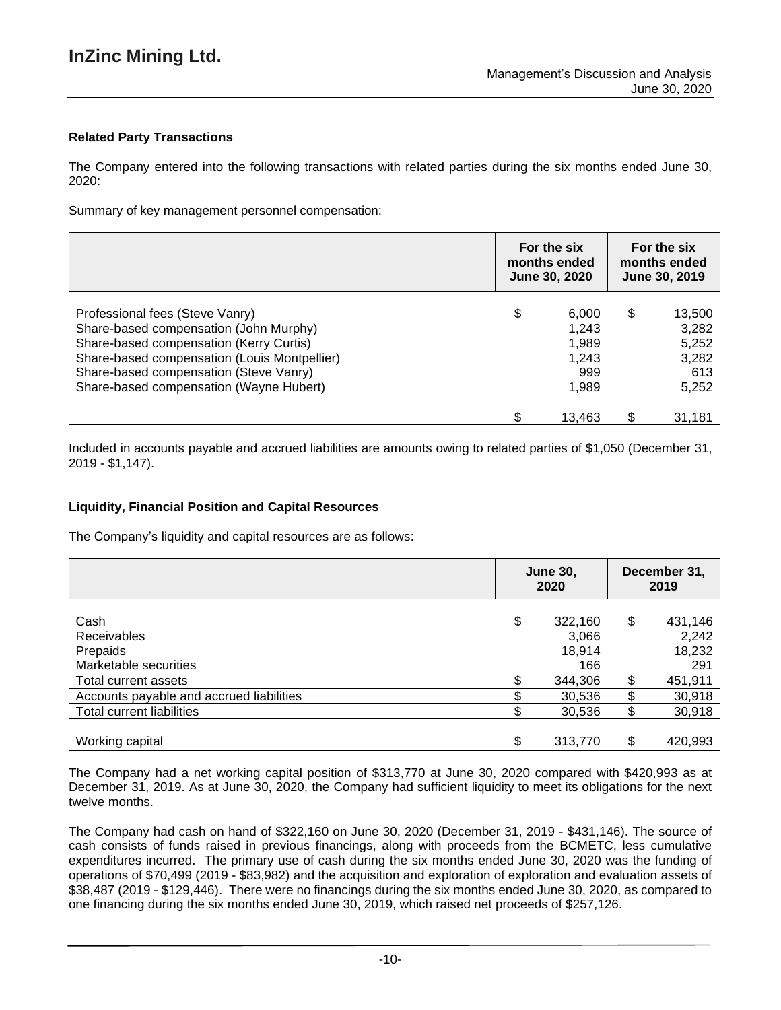## **Related Party Transactions**

The Company entered into the following transactions with related parties during the six months ended June 30, 2020:

Summary of key management personnel compensation:

|                                                                                                                                                                                                                                                           | For the six<br>months ended<br><b>June 30, 2020</b> |                                                  | For the six<br>months ended<br>June 30, 2019 |                                                   |
|-----------------------------------------------------------------------------------------------------------------------------------------------------------------------------------------------------------------------------------------------------------|-----------------------------------------------------|--------------------------------------------------|----------------------------------------------|---------------------------------------------------|
| Professional fees (Steve Vanry)<br>Share-based compensation (John Murphy)<br>Share-based compensation (Kerry Curtis)<br>Share-based compensation (Louis Montpellier)<br>Share-based compensation (Steve Vanry)<br>Share-based compensation (Wayne Hubert) | \$                                                  | 6,000<br>1,243<br>1,989<br>1,243<br>999<br>1,989 | \$                                           | 13,500<br>3,282<br>5,252<br>3,282<br>613<br>5,252 |
|                                                                                                                                                                                                                                                           |                                                     | 13,463                                           | ደ                                            | 31,181                                            |

Included in accounts payable and accrued liabilities are amounts owing to related parties of \$1,050 (December 31, 2019 - \$1,147).

### **Liquidity, Financial Position and Capital Resources**

The Company's liquidity and capital resources are as follows:

|                                          | <b>June 30,</b><br>2020 |         | December 31,<br>2019 |         |
|------------------------------------------|-------------------------|---------|----------------------|---------|
| Cash                                     | \$                      | 322,160 | \$                   | 431,146 |
| <b>Receivables</b>                       |                         | 3,066   |                      | 2,242   |
| Prepaids                                 |                         | 18,914  |                      | 18,232  |
| Marketable securities                    |                         | 166     |                      | 291     |
| Total current assets                     |                         | 344,306 | \$                   | 451,911 |
| Accounts payable and accrued liabilities |                         | 30,536  | \$                   | 30,918  |
| <b>Total current liabilities</b>         |                         | 30,536  | \$                   | 30,918  |
|                                          |                         |         |                      |         |
| Working capital                          | \$                      | 313,770 | \$                   | 420,993 |

The Company had a net working capital position of \$313,770 at June 30, 2020 compared with \$420,993 as at December 31, 2019. As at June 30, 2020, the Company had sufficient liquidity to meet its obligations for the next twelve months.

The Company had cash on hand of \$322,160 on June 30, 2020 (December 31, 2019 - \$431,146). The source of cash consists of funds raised in previous financings, along with proceeds from the BCMETC, less cumulative expenditures incurred. The primary use of cash during the six months ended June 30, 2020 was the funding of operations of \$70,499 (2019 - \$83,982) and the acquisition and exploration of exploration and evaluation assets of \$38,487 (2019 - \$129,446). There were no financings during the six months ended June 30, 2020, as compared to one financing during the six months ended June 30, 2019, which raised net proceeds of \$257,126.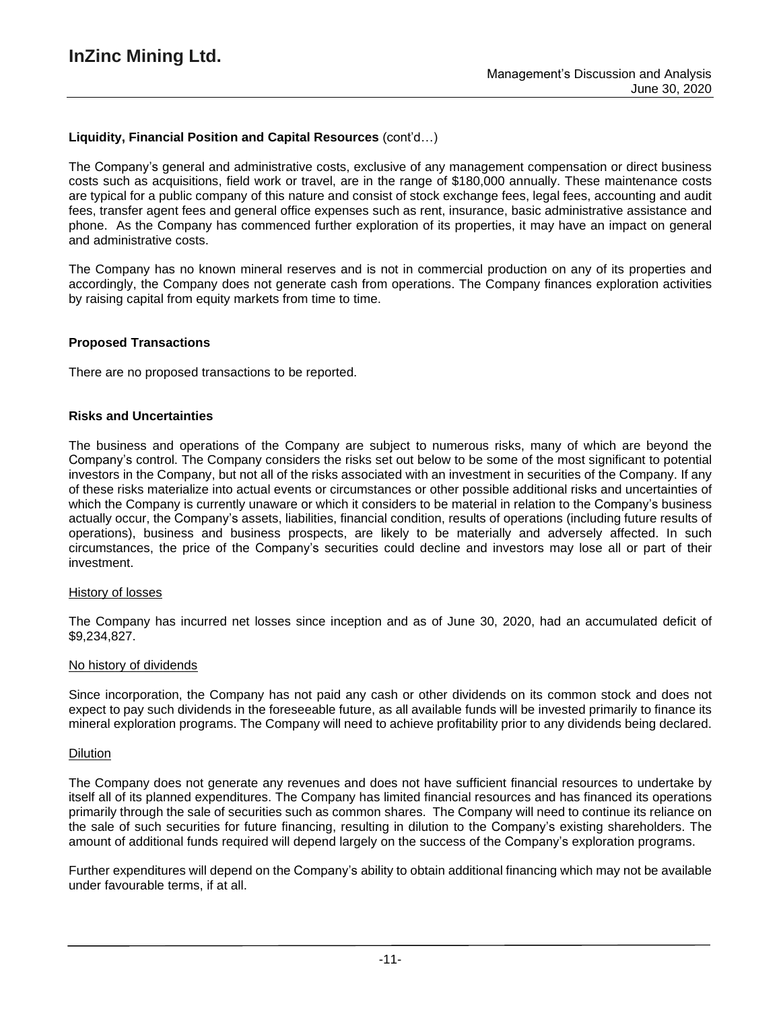## **Liquidity, Financial Position and Capital Resources** (cont'd…)

The Company's general and administrative costs, exclusive of any management compensation or direct business costs such as acquisitions, field work or travel, are in the range of \$180,000 annually. These maintenance costs are typical for a public company of this nature and consist of stock exchange fees, legal fees, accounting and audit fees, transfer agent fees and general office expenses such as rent, insurance, basic administrative assistance and phone. As the Company has commenced further exploration of its properties, it may have an impact on general and administrative costs.

The Company has no known mineral reserves and is not in commercial production on any of its properties and accordingly, the Company does not generate cash from operations. The Company finances exploration activities by raising capital from equity markets from time to time.

### **Proposed Transactions**

There are no proposed transactions to be reported.

### **Risks and Uncertainties**

The business and operations of the Company are subject to numerous risks, many of which are beyond the Company's control. The Company considers the risks set out below to be some of the most significant to potential investors in the Company, but not all of the risks associated with an investment in securities of the Company. If any of these risks materialize into actual events or circumstances or other possible additional risks and uncertainties of which the Company is currently unaware or which it considers to be material in relation to the Company's business actually occur, the Company's assets, liabilities, financial condition, results of operations (including future results of operations), business and business prospects, are likely to be materially and adversely affected. In such circumstances, the price of the Company's securities could decline and investors may lose all or part of their investment.

#### History of losses

The Company has incurred net losses since inception and as of June 30, 2020, had an accumulated deficit of \$9,234,827.

#### No history of dividends

Since incorporation, the Company has not paid any cash or other dividends on its common stock and does not expect to pay such dividends in the foreseeable future, as all available funds will be invested primarily to finance its mineral exploration programs. The Company will need to achieve profitability prior to any dividends being declared.

#### Dilution

The Company does not generate any revenues and does not have sufficient financial resources to undertake by itself all of its planned expenditures. The Company has limited financial resources and has financed its operations primarily through the sale of securities such as common shares. The Company will need to continue its reliance on the sale of such securities for future financing, resulting in dilution to the Company's existing shareholders. The amount of additional funds required will depend largely on the success of the Company's exploration programs.

Further expenditures will depend on the Company's ability to obtain additional financing which may not be available under favourable terms, if at all.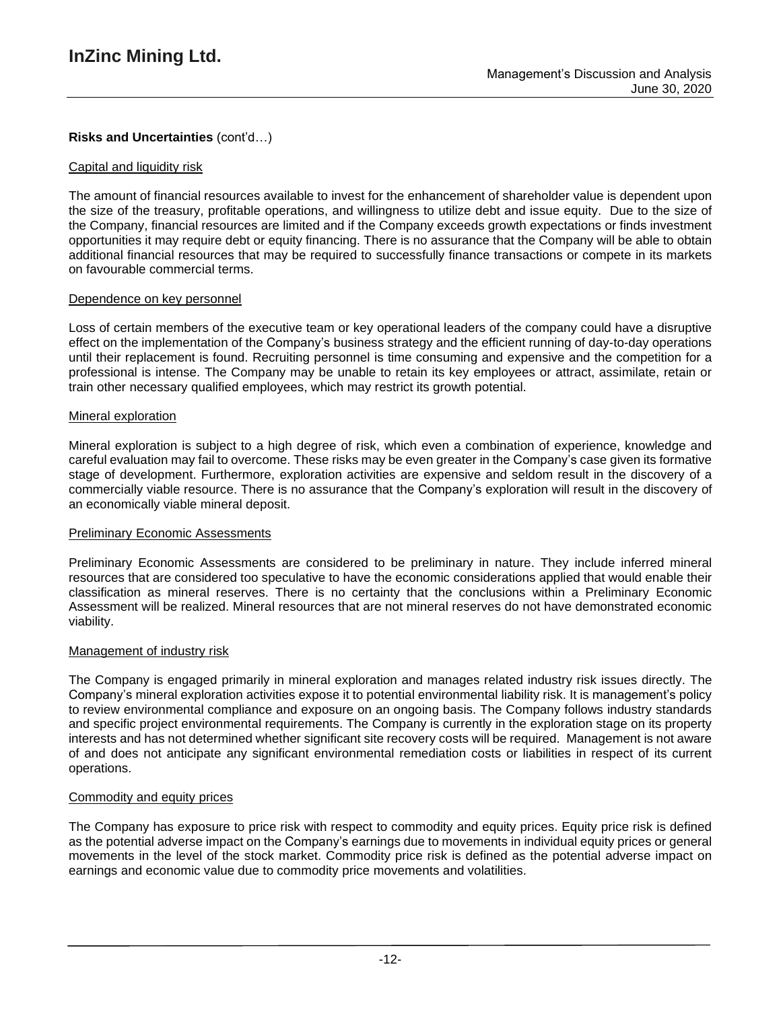# **Risks and Uncertainties** (cont'd…)

### Capital and liquidity risk

The amount of financial resources available to invest for the enhancement of shareholder value is dependent upon the size of the treasury, profitable operations, and willingness to utilize debt and issue equity. Due to the size of the Company, financial resources are limited and if the Company exceeds growth expectations or finds investment opportunities it may require debt or equity financing. There is no assurance that the Company will be able to obtain additional financial resources that may be required to successfully finance transactions or compete in its markets on favourable commercial terms.

### Dependence on key personnel

Loss of certain members of the executive team or key operational leaders of the company could have a disruptive effect on the implementation of the Company's business strategy and the efficient running of day-to-day operations until their replacement is found. Recruiting personnel is time consuming and expensive and the competition for a professional is intense. The Company may be unable to retain its key employees or attract, assimilate, retain or train other necessary qualified employees, which may restrict its growth potential.

### Mineral exploration

Mineral exploration is subject to a high degree of risk, which even a combination of experience, knowledge and careful evaluation may fail to overcome. These risks may be even greater in the Company's case given its formative stage of development. Furthermore, exploration activities are expensive and seldom result in the discovery of a commercially viable resource. There is no assurance that the Company's exploration will result in the discovery of an economically viable mineral deposit.

### **Preliminary Economic Assessments**

Preliminary Economic Assessments are considered to be preliminary in nature. They include inferred mineral resources that are considered too speculative to have the economic considerations applied that would enable their classification as mineral reserves. There is no certainty that the conclusions within a Preliminary Economic Assessment will be realized. Mineral resources that are not mineral reserves do not have demonstrated economic viability.

### Management of industry risk

The Company is engaged primarily in mineral exploration and manages related industry risk issues directly. The Company's mineral exploration activities expose it to potential environmental liability risk. It is management's policy to review environmental compliance and exposure on an ongoing basis. The Company follows industry standards and specific project environmental requirements. The Company is currently in the exploration stage on its property interests and has not determined whether significant site recovery costs will be required. Management is not aware of and does not anticipate any significant environmental remediation costs or liabilities in respect of its current operations.

## Commodity and equity prices

The Company has exposure to price risk with respect to commodity and equity prices. Equity price risk is defined as the potential adverse impact on the Company's earnings due to movements in individual equity prices or general movements in the level of the stock market. Commodity price risk is defined as the potential adverse impact on earnings and economic value due to commodity price movements and volatilities.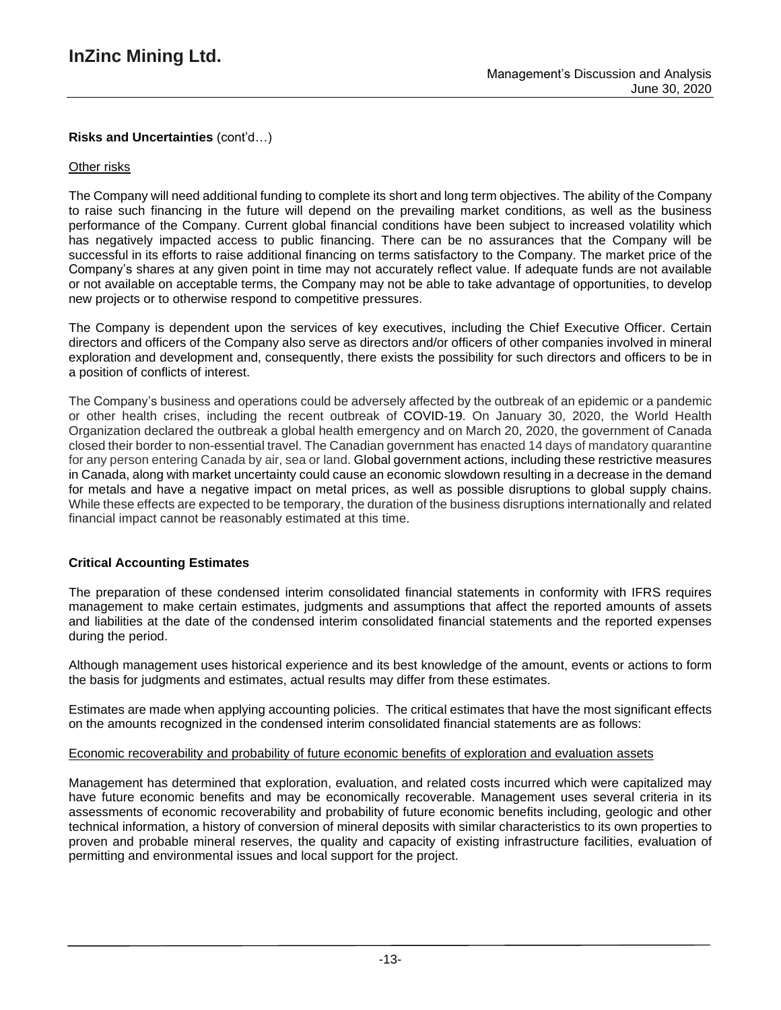# **Risks and Uncertainties** (cont'd…)

### Other risks

The Company will need additional funding to complete its short and long term objectives. The ability of the Company to raise such financing in the future will depend on the prevailing market conditions, as well as the business performance of the Company. Current global financial conditions have been subject to increased volatility which has negatively impacted access to public financing. There can be no assurances that the Company will be successful in its efforts to raise additional financing on terms satisfactory to the Company. The market price of the Company's shares at any given point in time may not accurately reflect value. If adequate funds are not available or not available on acceptable terms, the Company may not be able to take advantage of opportunities, to develop new projects or to otherwise respond to competitive pressures.

The Company is dependent upon the services of key executives, including the Chief Executive Officer. Certain directors and officers of the Company also serve as directors and/or officers of other companies involved in mineral exploration and development and, consequently, there exists the possibility for such directors and officers to be in a position of conflicts of interest.

The Company's business and operations could be adversely affected by the outbreak of an epidemic or a pandemic or other health crises, including the recent outbreak of COVID-19. On January 30, 2020, the World Health Organization declared the outbreak a global health emergency and on March 20, 2020, the government of Canada closed their border to non-essential travel. The Canadian government has enacted 14 days of mandatory quarantine for any person entering Canada by air, sea or land. Global government actions, including these restrictive measures in Canada, along with market uncertainty could cause an economic slowdown resulting in a decrease in the demand for metals and have a negative impact on metal prices, as well as possible disruptions to global supply chains. While these effects are expected to be temporary, the duration of the business disruptions internationally and related financial impact cannot be reasonably estimated at this time.

## **Critical Accounting Estimates**

The preparation of these condensed interim consolidated financial statements in conformity with IFRS requires management to make certain estimates, judgments and assumptions that affect the reported amounts of assets and liabilities at the date of the condensed interim consolidated financial statements and the reported expenses during the period.

Although management uses historical experience and its best knowledge of the amount, events or actions to form the basis for judgments and estimates, actual results may differ from these estimates.

Estimates are made when applying accounting policies. The critical estimates that have the most significant effects on the amounts recognized in the condensed interim consolidated financial statements are as follows:

### Economic recoverability and probability of future economic benefits of exploration and evaluation assets

Management has determined that exploration, evaluation, and related costs incurred which were capitalized may have future economic benefits and may be economically recoverable. Management uses several criteria in its assessments of economic recoverability and probability of future economic benefits including, geologic and other technical information, a history of conversion of mineral deposits with similar characteristics to its own properties to proven and probable mineral reserves, the quality and capacity of existing infrastructure facilities, evaluation of permitting and environmental issues and local support for the project.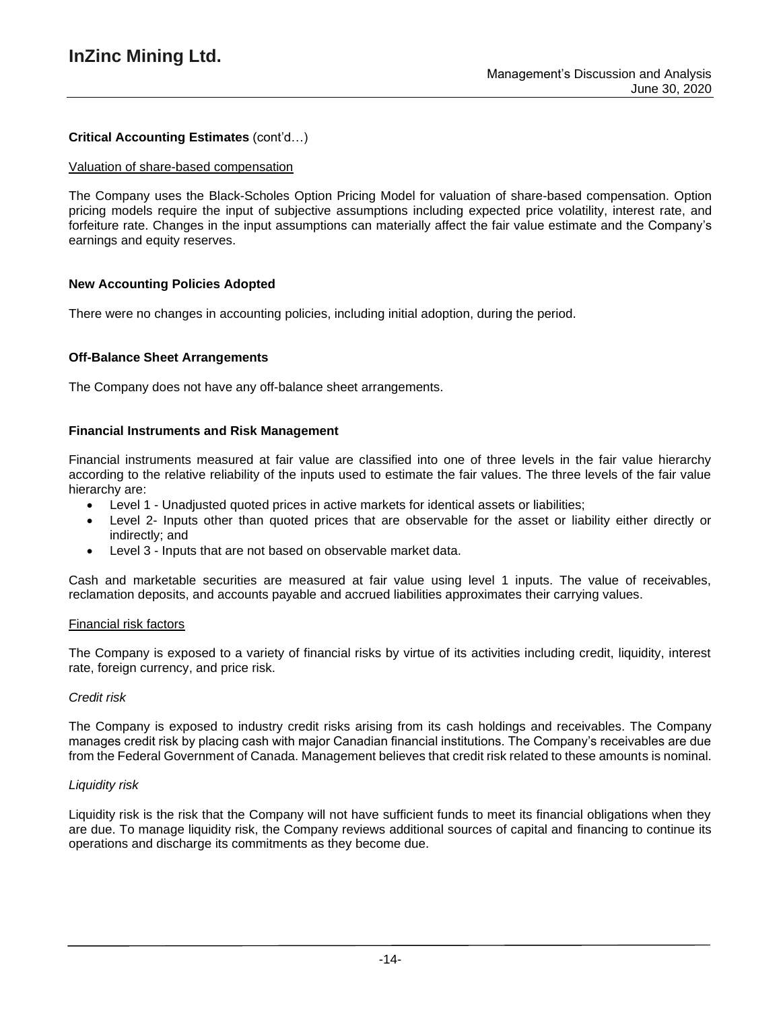## **Critical Accounting Estimates** (cont'd…)

### Valuation of share-based compensation

The Company uses the Black-Scholes Option Pricing Model for valuation of share-based compensation. Option pricing models require the input of subjective assumptions including expected price volatility, interest rate, and forfeiture rate. Changes in the input assumptions can materially affect the fair value estimate and the Company's earnings and equity reserves.

## **New Accounting Policies Adopted**

There were no changes in accounting policies, including initial adoption, during the period.

### **Off-Balance Sheet Arrangements**

The Company does not have any off-balance sheet arrangements.

### **Financial Instruments and Risk Management**

Financial instruments measured at fair value are classified into one of three levels in the fair value hierarchy according to the relative reliability of the inputs used to estimate the fair values. The three levels of the fair value hierarchy are:

- Level 1 Unadjusted quoted prices in active markets for identical assets or liabilities;
- Level 2- Inputs other than quoted prices that are observable for the asset or liability either directly or indirectly; and
- Level 3 Inputs that are not based on observable market data.

Cash and marketable securities are measured at fair value using level 1 inputs. The value of receivables, reclamation deposits, and accounts payable and accrued liabilities approximates their carrying values.

### Financial risk factors

The Company is exposed to a variety of financial risks by virtue of its activities including credit, liquidity, interest rate, foreign currency, and price risk.

### *Credit risk*

The Company is exposed to industry credit risks arising from its cash holdings and receivables. The Company manages credit risk by placing cash with major Canadian financial institutions. The Company's receivables are due from the Federal Government of Canada. Management believes that credit risk related to these amounts is nominal.

### *Liquidity risk*

Liquidity risk is the risk that the Company will not have sufficient funds to meet its financial obligations when they are due. To manage liquidity risk, the Company reviews additional sources of capital and financing to continue its operations and discharge its commitments as they become due.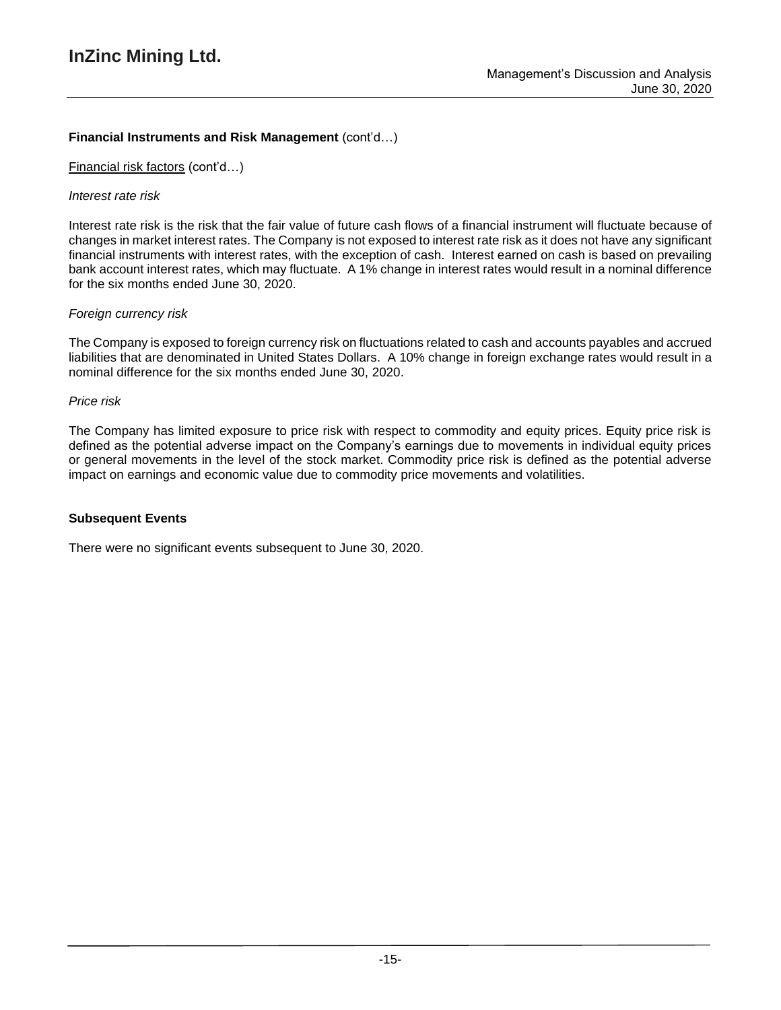## **Financial Instruments and Risk Management** (cont'd…)

## Financial risk factors (cont'd…)

### *Interest rate risk*

Interest rate risk is the risk that the fair value of future cash flows of a financial instrument will fluctuate because of changes in market interest rates. The Company is not exposed to interest rate risk as it does not have any significant financial instruments with interest rates, with the exception of cash. Interest earned on cash is based on prevailing bank account interest rates, which may fluctuate. A 1% change in interest rates would result in a nominal difference for the six months ended June 30, 2020.

## *Foreign currency risk*

The Company is exposed to foreign currency risk on fluctuations related to cash and accounts payables and accrued liabilities that are denominated in United States Dollars. A 10% change in foreign exchange rates would result in a nominal difference for the six months ended June 30, 2020.

### *Price risk*

The Company has limited exposure to price risk with respect to commodity and equity prices. Equity price risk is defined as the potential adverse impact on the Company's earnings due to movements in individual equity prices or general movements in the level of the stock market. Commodity price risk is defined as the potential adverse impact on earnings and economic value due to commodity price movements and volatilities.

### **Subsequent Events**

There were no significant events subsequent to June 30, 2020.